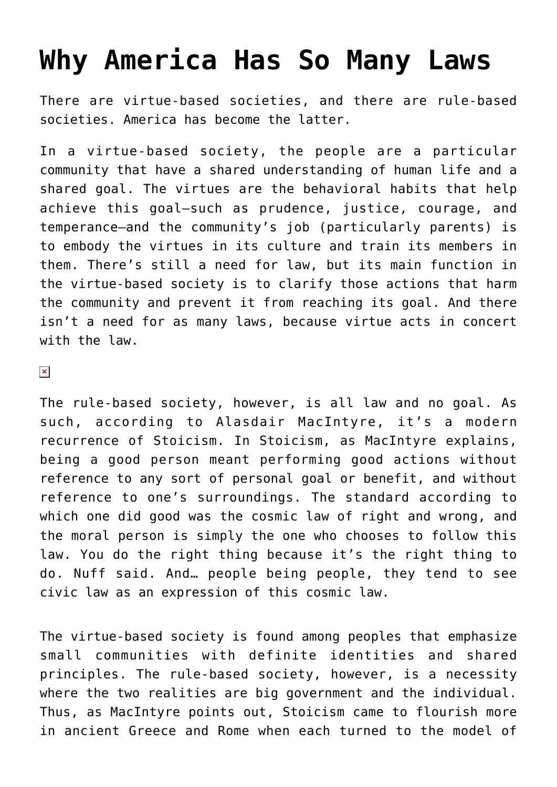## **[Why America Has So Many Laws](https://intellectualtakeout.org/2016/02/why-america-has-so-many-laws/)**

There are virtue-based societies, and there are rule-based societies. America has become the latter.

In a virtue-based society, the people are a particular community that have a shared understanding of human life and a shared goal. The virtues are the behavioral habits that help achieve this goal—such as prudence, justice, courage, and temperance—and the community's job (particularly parents) is to embody the virtues in its culture and train its members in them. There's still a need for law, but its main function in the virtue-based society is to clarify those actions that harm the community and prevent it from reaching its goal. And there isn't a need for as many laws, because virtue acts in concert with the law.

 $\pmb{\times}$ 

The rule-based society, however, is all law and no goal. As such, according to Alasdair MacIntyre, it's a modern recurrence of Stoicism. In Stoicism, as MacIntyre explains, being a good person meant performing good actions without reference to any sort of personal goal or benefit, and without reference to one's surroundings. The standard according to which one did good was the cosmic law of right and wrong, and the moral person is simply the one who chooses to follow this law. You do the right thing because it's the right thing to do. Nuff said. And… people being people, they tend to see civic law as an expression of this cosmic law.

The virtue-based society is found among peoples that emphasize small communities with definite identities and shared principles. The rule-based society, however, is a necessity where the two realities are big government and the individual. Thus, as MacIntyre points out, Stoicism came to flourish more in ancient Greece and Rome when each turned to the model of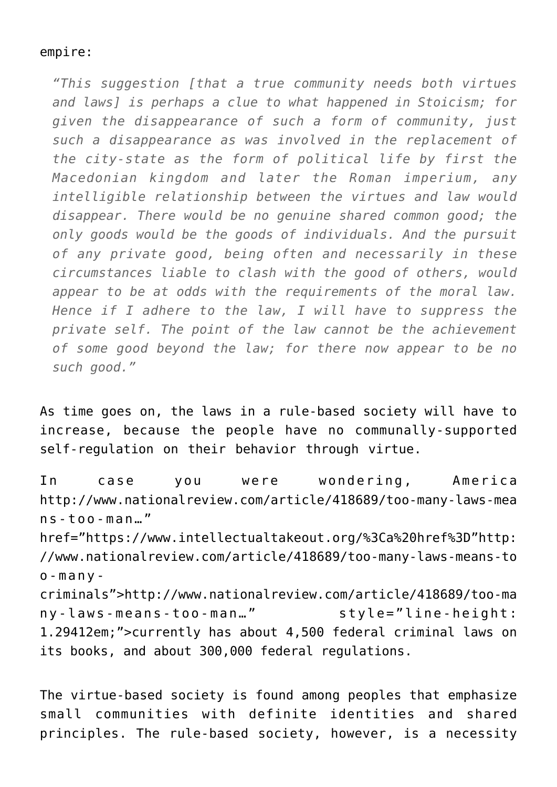## empire:

*"This suggestion [that a true community needs both virtues and laws] is perhaps a clue to what happened in Stoicism; for given the disappearance of such a form of community, just such a disappearance as was involved in the replacement of the city-state as the form of political life by first the Macedonian kingdom and later the Roman imperium, any intelligible relationship between the virtues and law would disappear. There would be no genuine shared common good; the only goods would be the goods of individuals. And the pursuit of any private good, being often and necessarily in these circumstances liable to clash with the good of others, would appear to be at odds with the requirements of the moral law. Hence if I adhere to the law, I will have to suppress the private self. The point of the law cannot be the achievement of some good beyond the law; for there now appear to be no such good."*

As time goes on, the laws in a rule-based society will have to increase, because the people have no communally-supported self-regulation on their behavior through virtue.

In case you were wondering, America http://www.nationalreview.com/article/418689/too-many-laws-mea ns-too-man…" href="https://www.intellectualtakeout.org/%3Ca%20href%3D"http: //www.nationalreview.com/article/418689/too-many-laws-means-to o-manycriminals">http://www.nationalreview.com/article/418689/too-ma ny-laws-means-too-man…" style="line-height: 1.29412em;">currently has about 4,500 federal criminal laws on its books, and about 300,000 federal regulations.

The virtue-based society is found among peoples that emphasize small communities with definite identities and shared principles. The rule-based society, however, is a necessity